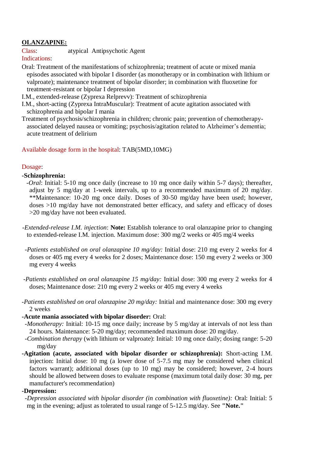# **OLANZAPINE:**

Class: atypical Antipsychotic Agent

Indications:

Oral: Treatment of the manifestations of schizophrenia; treatment of acute or mixed mania episodes associated with bipolar I disorder (as monotherapy or in combination with lithium or valproate); maintenance treatment of bipolar disorder; in combination with fluoxetine for treatment-resistant or bipolar I depression

I.M., extended-release (Zyprexa Relprevv): Treatment of schizophrenia

- I.M., short-acting (Zyprexa IntraMuscular): Treatment of acute agitation associated with schizophrenia and bipolar I mania
- Treatment of psychosis/schizophrenia in children; chronic pain; prevention of chemotherapyassociated delayed nausea or vomiting; psychosis/agitation related to Alzheimer's dementia; acute treatment of delirium

Available dosage form in the hospital: TAB(5MD,10MG)

## Dosage:

## **-Schizophrenia:**

 -*Oral*: Initial: 5-10 mg once daily (increase to 10 mg once daily within 5-7 days); thereafter, adjust by 5 mg/day at 1-week intervals, up to a recommended maximum of 20 mg/day. \*\*Maintenance: 10-20 mg once daily. Doses of 30-50 mg/day have been used; however, doses >10 mg/day have not demonstrated better efficacy, and safety and efficacy of doses >20 mg/day have not been evaluated.

- -*Extended-release I.M. injection*: **Note:** Establish tolerance to oral olanzapine prior to changing to extended-release I.M. injection. Maximum dose: 300 mg/2 weeks or 405 mg/4 weeks
- *-Patients established on oral olanzapine 10 mg/day:* Initial dose: 210 mg every 2 weeks for 4 doses or 405 mg every 4 weeks for 2 doses; Maintenance dose: 150 mg every 2 weeks or 300 mg every 4 weeks
- *-Patients established on oral olanzapine 15 mg/day:* Initial dose: 300 mg every 2 weeks for 4 doses; Maintenance dose: 210 mg every 2 weeks or 405 mg every 4 weeks
- *-Patients established on oral olanzapine 20 mg/day:* Initial and maintenance dose: 300 mg every 2 weeks

### **-Acute mania associated with bipolar disorder:** Oral:

*-Monotherapy:* Initial: 10-15 mg once daily; increase by 5 mg/day at intervals of not less than 24 hours. Maintenance: 5-20 mg/day; recommended maximum dose: 20 mg/day.

 *-Combination therapy* (with lithium or valproate): Initial: 10 mg once daily; dosing range: 5-20 mg/day

**-Agitation (acute, associated with bipolar disorder or schizophrenia):** Short-acting I.M. injection: Initial dose: 10 mg (a lower dose of 5-7.5 mg may be considered when clinical factors warrant); additional doses (up to 10 mg) may be considered; however, 2-4 hours should be allowed between doses to evaluate response (maximum total daily dose: 30 mg, per manufacturer's recommendation)

### **-Depression:**

 *-Depression associated with bipolar disorder (in combination with fluoxetine):* Oral: Initial: 5 mg in the evening; adjust as tolerated to usual range of 5-12.5 mg/day. See **"Note."**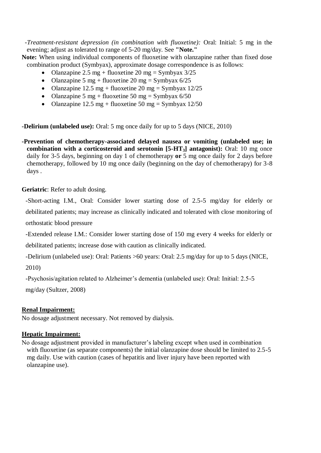*-Treatment-resistant depression (in combination with fluoxetine):* Oral: Initial: 5 mg in the evening; adjust as tolerated to range of 5-20 mg/day. See **"Note."**

**Note:** When using individual components of fluoxetine with olanzapine rather than fixed dose combination product (Symbyax), approximate dosage correspondence is as follows:

- Olanzapine 2.5 mg + fluoxetine 20 mg = Symbyax  $3/25$
- Olanzapine 5 mg + fluoxetine 20 mg = Symbyax  $6/25$
- Olanzapine 12.5 mg + fluoxetine 20 mg = Symbyax 12/25
- Olanzapine 5 mg + fluoxetine 50 mg = Symbyax  $6/50$
- Olanzapine 12.5 mg + fluoxetine 50 mg = Symbyax 12/50

**-Delirium (unlabeled use):** Oral: 5 mg once daily for up to 5 days (NICE, 2010)

**-Prevention of chemotherapy-associated delayed nausea or vomiting (unlabeled use; in combination with a corticosteroid and serotonin [5-HT3] antagonist):** Oral: 10 mg once daily for 3-5 days, beginning on day 1 of chemotherapy **or** 5 mg once daily for 2 days before chemotherapy, followed by 10 mg once daily (beginning on the day of chemotherapy) for 3-8 days .

**Geriatric**: Refer to adult dosing.

-Short-acting I.M., Oral: Consider lower starting dose of 2.5-5 mg/day for elderly or debilitated patients; may increase as clinically indicated and tolerated with close monitoring of orthostatic blood pressure

-Extended release I.M.: Consider lower starting dose of 150 mg every 4 weeks for elderly or debilitated patients; increase dose with caution as clinically indicated.

-Delirium (unlabeled use): Oral: Patients >60 years: Oral: 2.5 mg/day for up to 5 days (NICE,

2010)

-Psychosis/agitation related to Alzheimer's dementia (unlabeled use): Oral: Initial: 2.5-5

mg/day (Sultzer, 2008)

### **Renal Impairment:**

No dosage adjustment necessary. Not removed by dialysis.

### **Hepatic Impairment:**

No dosage adjustment provided in manufacturer's labeling except when used in combination with fluoxetine (as separate components) the initial olanzapine dose should be limited to 2.5-5 mg daily. Use with caution (cases of hepatitis and liver injury have been reported with olanzapine use).